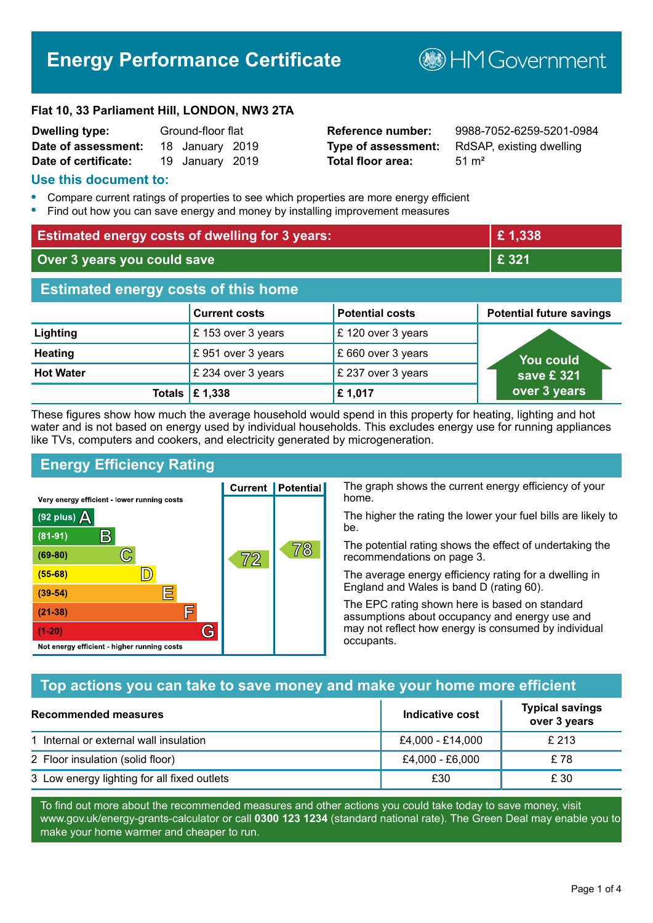# **Energy Performance Certificate**

**B**HM Government

#### **Flat 10, 33 Parliament Hill, LONDON, NW3 2TA**

| <b>Dwelling type:</b> | Ground-floor flat |                 |  |
|-----------------------|-------------------|-----------------|--|
| Date of assessment:   |                   | 18 January 2019 |  |
| Date of certificate:  |                   | 19 January 2019 |  |

# **Total floor area:** 51 m<sup>2</sup>

**Reference number:** 9988-7052-6259-5201-0984 **Type of assessment:** RdSAP, existing dwelling

#### **Use this document to:**

- **•** Compare current ratings of properties to see which properties are more energy efficient
- **•** Find out how you can save energy and money by installing improvement measures

| <b>Estimated energy costs of dwelling for 3 years:</b> |                      |                        | £1,338                          |
|--------------------------------------------------------|----------------------|------------------------|---------------------------------|
| Over 3 years you could save                            |                      | £ 321                  |                                 |
| <b>Estimated energy costs of this home</b>             |                      |                        |                                 |
|                                                        | <b>Current costs</b> | <b>Potential costs</b> | <b>Potential future savings</b> |
| Lighting                                               | £153 over 3 years    | £120 over 3 years      |                                 |
| <b>Heating</b>                                         | £951 over 3 years    | £660 over 3 years      | <b>You could</b>                |
| <b>Hot Water</b>                                       | £ 234 over 3 years   | £ 237 over 3 years     | save £ 321                      |
| Totals                                                 | £1,338               | £1,017                 | over 3 years                    |

These figures show how much the average household would spend in this property for heating, lighting and hot water and is not based on energy used by individual households. This excludes energy use for running appliances like TVs, computers and cookers, and electricity generated by microgeneration.

**Current | Potential** 

 $\mathbb{7}2$ 

# **Energy Efficiency Rating**

 $\mathbb{C}$ 

 $\mathbb{D}$ 

E

庐

G

Very energy efficient - lower running costs

R

Not energy efficient - higher running costs

(92 plus)  $\Delta$ 

 $(81 - 91)$ 

 $(69 - 80)$ 

 $(55-68)$ 

 $(39 - 54)$ 

 $(21-38)$ 

 $(1-20)$ 

The graph shows the current energy efficiency of your home.

The higher the rating the lower your fuel bills are likely to be.

The potential rating shows the effect of undertaking the recommendations on page 3.

The average energy efficiency rating for a dwelling in England and Wales is band D (rating 60).

The EPC rating shown here is based on standard assumptions about occupancy and energy use and may not reflect how energy is consumed by individual occupants.

# **Top actions you can take to save money and make your home more efficient**

78

| <b>Recommended measures</b>                 | Indicative cost  | <b>Typical savings</b><br>over 3 years |
|---------------------------------------------|------------------|----------------------------------------|
| 1 Internal or external wall insulation      | £4,000 - £14,000 | £ 213                                  |
| 2 Floor insulation (solid floor)            | £4,000 - £6,000  | £78                                    |
| 3 Low energy lighting for all fixed outlets | £30              | £ 30                                   |

To find out more about the recommended measures and other actions you could take today to save money, visit www.gov.uk/energy-grants-calculator or call **0300 123 1234** (standard national rate). The Green Deal may enable you to make your home warmer and cheaper to run.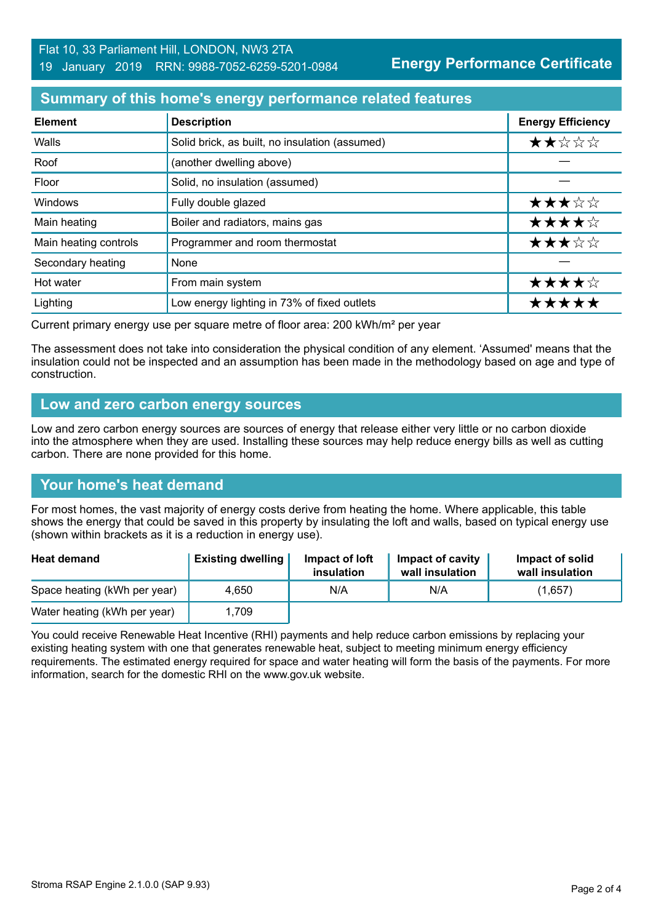# **Summary of this home's energy performance related features**

| <b>Element</b>        | <b>Description</b>                             | <b>Energy Efficiency</b> |
|-----------------------|------------------------------------------------|--------------------------|
| Walls                 | Solid brick, as built, no insulation (assumed) | ★★☆☆☆                    |
| Roof                  | (another dwelling above)                       |                          |
| Floor                 | Solid, no insulation (assumed)                 |                          |
| <b>Windows</b>        | Fully double glazed                            | ★★★☆☆                    |
| Main heating          | Boiler and radiators, mains gas                | ★★★★☆                    |
| Main heating controls | Programmer and room thermostat                 | ★★★☆☆                    |
| Secondary heating     | None                                           |                          |
| Hot water             | From main system                               | ★★★★☆                    |
| Lighting              | Low energy lighting in 73% of fixed outlets    | *****                    |

Current primary energy use per square metre of floor area: 200 kWh/m² per year

The assessment does not take into consideration the physical condition of any element. 'Assumed' means that the insulation could not be inspected and an assumption has been made in the methodology based on age and type of construction.

#### **Low and zero carbon energy sources**

Low and zero carbon energy sources are sources of energy that release either very little or no carbon dioxide into the atmosphere when they are used. Installing these sources may help reduce energy bills as well as cutting carbon. There are none provided for this home.

# **Your home's heat demand**

For most homes, the vast majority of energy costs derive from heating the home. Where applicable, this table shows the energy that could be saved in this property by insulating the loft and walls, based on typical energy use (shown within brackets as it is a reduction in energy use).

| <b>Heat demand</b>           | <b>Existing dwelling</b> | Impact of loft<br>insulation | Impact of cavity<br>wall insulation | Impact of solid<br>wall insulation |
|------------------------------|--------------------------|------------------------------|-------------------------------------|------------------------------------|
| Space heating (kWh per year) | 4.650                    | N/A                          | N/A                                 | (1,657)                            |
| Water heating (kWh per year) | 1,709                    |                              |                                     |                                    |

You could receive Renewable Heat Incentive (RHI) payments and help reduce carbon emissions by replacing your existing heating system with one that generates renewable heat, subject to meeting minimum energy efficiency requirements. The estimated energy required for space and water heating will form the basis of the payments. For more information, search for the domestic RHI on the www.gov.uk website.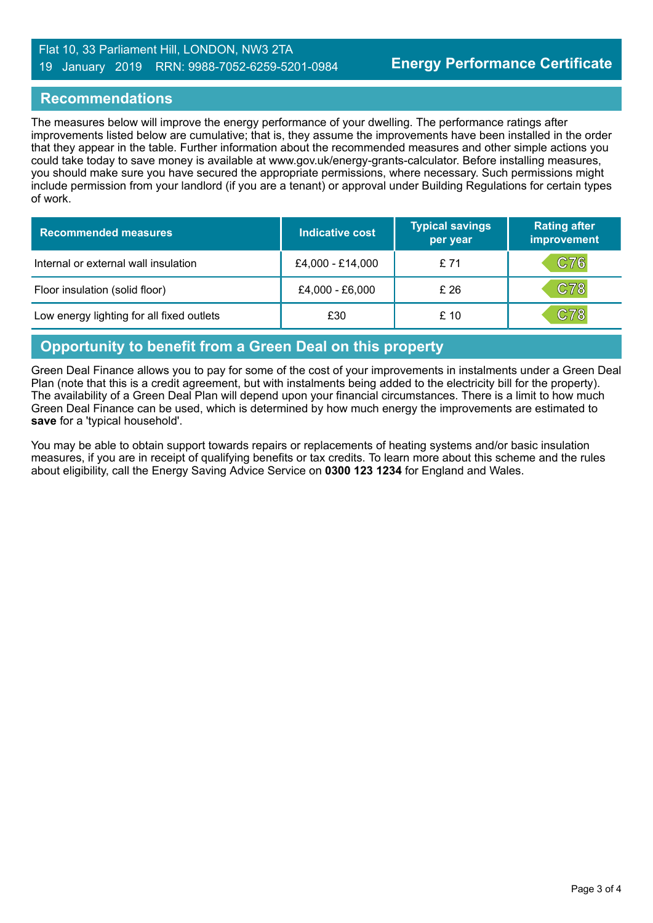#### Flat 10, 33 Parliament Hill, LONDON, NW3 2TA 19 January 2019 RRN: 9988-7052-6259-5201-0984

#### **Recommendations**

The measures below will improve the energy performance of your dwelling. The performance ratings after improvements listed below are cumulative; that is, they assume the improvements have been installed in the order that they appear in the table. Further information about the recommended measures and other simple actions you could take today to save money is available at www.gov.uk/energy-grants-calculator. Before installing measures, you should make sure you have secured the appropriate permissions, where necessary. Such permissions might include permission from your landlord (if you are a tenant) or approval under Building Regulations for certain types of work.

| <b>Recommended measures</b>               | Indicative cost  | <b>Typical savings</b><br>per year | <b>Rating after</b><br>improvement |
|-------------------------------------------|------------------|------------------------------------|------------------------------------|
| Internal or external wall insulation      | £4,000 - £14,000 | £71                                | C76                                |
| Floor insulation (solid floor)            | £4,000 - £6,000  | £26                                | C78                                |
| Low energy lighting for all fixed outlets | £30              | £10                                | C78                                |

#### **Opportunity to benefit from a Green Deal on this property**

Green Deal Finance allows you to pay for some of the cost of your improvements in instalments under a Green Deal Plan (note that this is a credit agreement, but with instalments being added to the electricity bill for the property). The availability of a Green Deal Plan will depend upon your financial circumstances. There is a limit to how much Green Deal Finance can be used, which is determined by how much energy the improvements are estimated to **save** for a 'typical household'.

You may be able to obtain support towards repairs or replacements of heating systems and/or basic insulation measures, if you are in receipt of qualifying benefits or tax credits. To learn more about this scheme and the rules about eligibility, call the Energy Saving Advice Service on **0300 123 1234** for England and Wales.